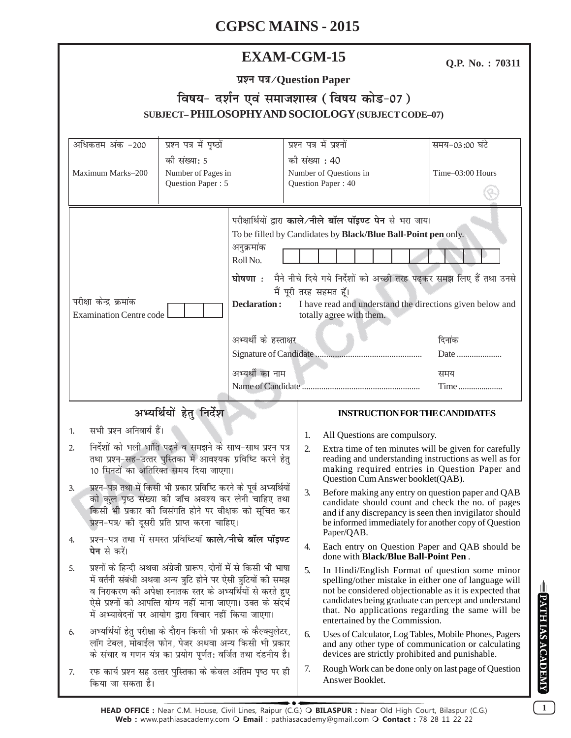## **EXAM-CGM-15**

**Q.P. No. : 70311**

## <u> विषय- दर्शन एवं समाजशास्त्र (विषय कोड-07)</u> **SUBJECT– PHILOSOPHY AND SOCIOLOGY (SUBJECT CODE–07)**

| अधिकतम अंक -200                                                                                                                                                                                                                                                                                                                                                                                                                                                                                                               | प्रश्न पत्र में पृष्ठों |                                                                        |                  | प्रश्न पत्र में प्रश्नों                                                                                                                                                                                                                                                                                                       | समय-03:00 घंटे |  |
|-------------------------------------------------------------------------------------------------------------------------------------------------------------------------------------------------------------------------------------------------------------------------------------------------------------------------------------------------------------------------------------------------------------------------------------------------------------------------------------------------------------------------------|-------------------------|------------------------------------------------------------------------|------------------|--------------------------------------------------------------------------------------------------------------------------------------------------------------------------------------------------------------------------------------------------------------------------------------------------------------------------------|----------------|--|
| की संख्या: 5<br>Number of Pages in<br>Maximum Marks-200<br>Question Paper: 5                                                                                                                                                                                                                                                                                                                                                                                                                                                  |                         | की संख्या : 40<br>Number of Questions in<br>Question Paper: 40         |                  | Time-03:00 Hours                                                                                                                                                                                                                                                                                                               |                |  |
| परीक्षा केन्द्र क्रमांक<br><b>Examination Centre code</b>                                                                                                                                                                                                                                                                                                                                                                                                                                                                     |                         | अनुक्रमांक<br>Roll No.<br><b>Declaration:</b><br>अभ्यर्थी के हस्ताक्षर |                  | परीक्षार्थियों द्वारा काले/नीले बॉल पॉइण्ट पेन से भरा जाय।<br>To be filled by Candidates by Black/Blue Ball-Point pen only.<br>घोषणा : मैने नीचे दिये गये निर्देशों को अच्छी तरह पढ़कर समझ लिए हैं तथा उनसे<br>मैं पूरी तरह सहमत हूँ।<br>I have read and understand the directions given below and<br>totally agree with them. | दिनांक<br>Date |  |
|                                                                                                                                                                                                                                                                                                                                                                                                                                                                                                                               |                         | अभ्यर्थी का नाम                                                        |                  |                                                                                                                                                                                                                                                                                                                                | समय            |  |
|                                                                                                                                                                                                                                                                                                                                                                                                                                                                                                                               |                         |                                                                        |                  |                                                                                                                                                                                                                                                                                                                                | Time           |  |
| अभ्यर्थियों हेतु निर्देश                                                                                                                                                                                                                                                                                                                                                                                                                                                                                                      |                         |                                                                        |                  | <b>INSTRUCTION FOR THE CANDIDATES</b>                                                                                                                                                                                                                                                                                          |                |  |
| सभी प्रश्न अनिवार्य हैं।<br>1.                                                                                                                                                                                                                                                                                                                                                                                                                                                                                                |                         |                                                                        | 1.               | All Questions are compulsory.                                                                                                                                                                                                                                                                                                  |                |  |
| निर्देशों को भली भांति पढ़ने व समझने के साथ-साथ प्रश्न पत्र<br>2.<br>तथा प्रश्न-सह-उत्तर पुस्तिका में आवश्यक प्रविष्टि करने हेतु<br>10 मिनटों का अतिरिक्त समय दिया जाएगा।<br>प्रश्न-पत्र तथा में किसी भी प्रकार प्रविष्टि करने के पूर्व अभ्यर्थियों<br>3.<br>को कुल पृष्ठ संख्या की जॉच अवश्य कर लेनी चाहिए तथा<br>किसी भी प्रकार की विसंगति होने पर वीक्षक को सूचित कर<br>प्रश्न-पत्र/ की दूसरी प्रति प्राप्त करना चाहिए।<br>प्रश्न-पत्र तथा में समस्त प्रविष्टियाँ <b>काले/नीचे बॉल पॉइण्ट</b><br>4.<br><b>पेन</b> से करें। |                         |                                                                        | 2.               | Extra time of ten minutes will be given for carefully<br>reading and understanding instructions as well as for<br>making required entries in Question Paper and<br>Question Cum Answer booklet(QAB).                                                                                                                           |                |  |
|                                                                                                                                                                                                                                                                                                                                                                                                                                                                                                                               |                         |                                                                        | $\mathfrak{Z}$ . | Before making any entry on question paper and QAB<br>candidate should count and check the no. of pages<br>and if any discrepancy is seen then invigilator should<br>be informed immediately for another copy of Question<br>Paper/QAB.                                                                                         |                |  |
|                                                                                                                                                                                                                                                                                                                                                                                                                                                                                                                               |                         |                                                                        | 4.               | Each entry on Question Paper and QAB should be<br>done with <b>Black/Blue Ball-Point Pen</b> .                                                                                                                                                                                                                                 |                |  |
| प्रश्नों के हिन्दी अथवा अंग्रेजी प्रारूप, दोनों में से किसी भी भाषा<br>5.<br>में वर्तनी संबंधी अथवा अन्य त्रुटि होने पर ऐसी त्रुटियों की समझ<br>व निराकरण की अपेक्षा स्नातक स्तर के अभ्यर्थियों से करते हुए<br>ऐसे प्रश्नों को आपत्ति योग्य नहीं माना जाएगा। उक्त के संदर्भ<br>में अभ्यावेदनों पर आयोग द्वारा विचार नहीं किया जाएगा।                                                                                                                                                                                          |                         |                                                                        | 5.               | In Hindi/English Format of question some minor<br>spelling/other mistake in either one of language will<br>not be considered objectionable as it is expected that<br>candidates being graduate can percept and understand<br>that. No applications regarding the same will be<br>entertained by the Commission.                |                |  |
| अभ्यर्थियों हेतु परीक्षा के दौरान किसी भी प्रकार के कैल्क्युलेटर,<br>6.<br>लॉग टेबल, मोबाईल फोन, पेजर अथवा अन्य किसी भी प्रकार<br>के संचार व गणन यंत्र का प्रयोग पूर्णत: वर्जित तथा दंडनीय है।                                                                                                                                                                                                                                                                                                                                |                         |                                                                        | 6.               | Uses of Calculator, Log Tables, Mobile Phones, Pagers<br>and any other type of communication or calculating<br>devices are strictly prohibited and punishable.                                                                                                                                                                 |                |  |
| रफ कार्य प्रश्न सह उत्तर पुस्तिका के केवल अंतिम पृष्ठ पर ही<br>7.<br>किया जा सकता है।                                                                                                                                                                                                                                                                                                                                                                                                                                         |                         |                                                                        | 7.               | Rough Work can be done only on last page of Question<br>Answer Booklet.                                                                                                                                                                                                                                                        |                |  |

**1**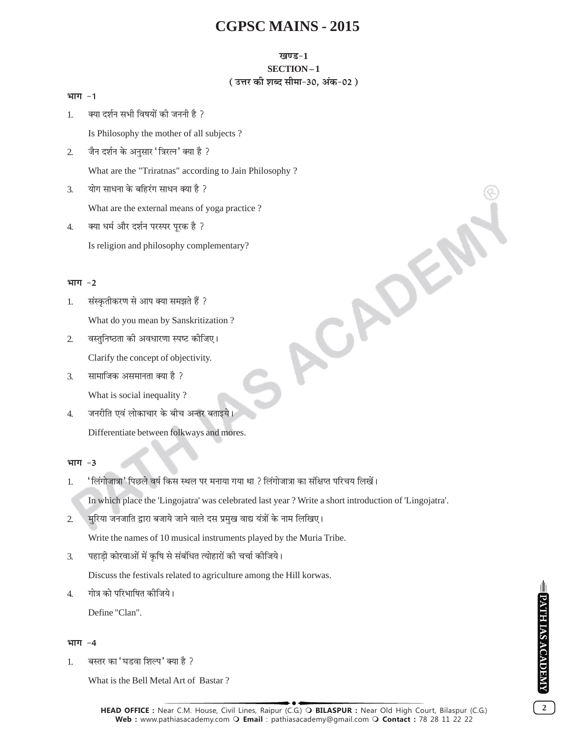### खण्ड-1

### SECTION-1

## (उत्तर की शब्द सीमा-30, अंक-02)

CADEA

### भाग $-1$

क्या दर्शन सभी विषयों की जननी है ?  $1<sub>1</sub>$ 

Is Philosophy the mother of all subjects ?

जैन दर्शन के अनुसार 'त्रिरत्न' क्या है ?  $\overline{2}$ 

What are the "Triratnas" according to Jain Philosophy?

योग साधना के बहिरंग साधन क्या है ?  $\overline{3}$ .

What are the external means of yoga practice?

क्या धर्म और दर्शन परस्पर पुरक है ?  $\overline{4}$ .

Is religion and philosophy complementary?

## भाग -2

- संस्कृतीकरण से आप क्या समझते हैं ?  $1.$ What do you mean by Sanskritization?
- $\overline{2}$ वस्तुनिष्ठता की अवधारणा स्पष्ट कीजिए। Clarify the concept of objectivity.
- सामाजिक असमानता क्या है ?  $\mathcal{F}_{\mathcal{L}}$

What is social inequality?

जनरीति एवं लोकाचार के बीच अन्तर बताइये।  $\overline{4}$ . Differentiate between folkways and mores.

## भाग -3

' लिंगोजात्रा' पिछले वर्ष किस स्थल पर मनाया गया था ? लिंगोजात्रा का संक्षिप्त परिचय लिखें। 1.

In which place the 'Lingojatra' was celebrated last year? Write a short introduction of 'Lingojatra'.

मुरिया जनजाति द्वारा बजाये जाने वाले दस प्रमुख वाद्य यंत्रों के नाम लिखिए।  $\overline{2}$ 

Write the names of 10 musical instruments played by the Muria Tribe.

पहाडी कोरवाओं में कृषि से संबंधित त्योहारों की चर्चा कीजिये।  $\mathcal{F}_{\mathcal{L}}$ 

Discuss the festivals related to agriculture among the Hill korwas.

गोत्र को परिभाषित कीजिये।  $\overline{4}$ 

Define "Clan".

## भाग -4

बस्तर का 'घडवा शिल्प' क्या है ?  $1.$ 

What is the Bell Metal Art of Bastar?

 $\overline{2}$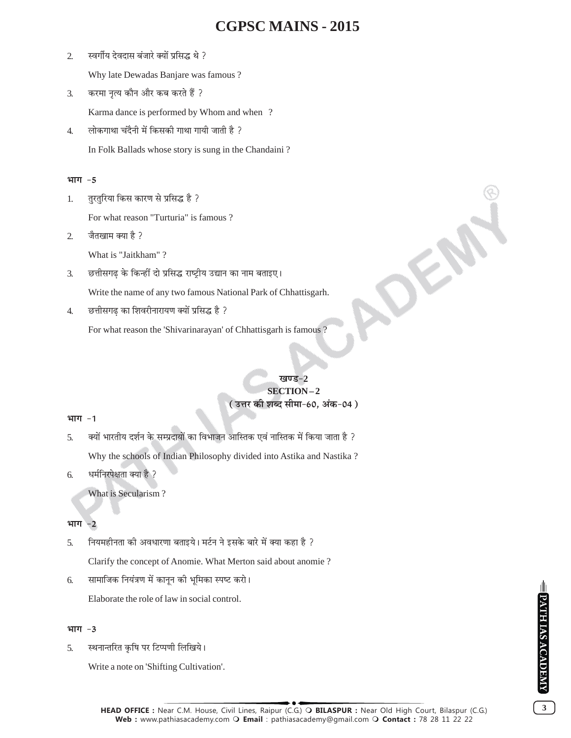$\overline{2}$ स्वर्गीय देवदास बंजारे क्यों प्रसिद्ध थे ?

Why late Dewadas Banjare was famous?

करमा नृत्य कौन और कब करते हैं ?  $\overline{3}$ .

Karma dance is performed by Whom and when ?

लोकगाथा चंदैनी में किसकी गाथा गायी जाती है ?  $\overline{4}$ . In Folk Ballads whose story is sung in the Chandaini?

## भाग -5

तुरतुरिया किस कारण से प्रसिद्ध है ? 1.

For what reason "Turturia" is famous?

जैतखाम क्या है ?  $\overline{2}$ 

What is "Jaitkham"?

छत्तीसगढ़ के किन्हीं दो प्रसिद्ध राष्ट्रीय उद्यान का नाम बताइए।  $\overline{3}$ .

Write the name of any two famous National Park of Chhattisgarh.

छत्तीसगढ का शिवरीनारायण क्यों प्रसिद्ध है ?  $\overline{4}$ .

For what reason the 'Shivarinarayan' of Chhattisgarh is famous?

## ਸ਼ਕਾ ਵ $-2$ SECTION-2 ( उत्तर की शब्द सीमा-60, अंक-04 )

## भाग -1

क्यों भारतीय दर्शन के सम्प्रदायों का विभाजन आस्तिक एवं नास्तिक में किया जाता है ?  $\overline{5}$ .

Why the schools of Indian Philosophy divided into Astika and Nastika?

धर्मनिरपेक्षता क्या है ? 6.

What is Secularism?

#### भाग  $-2$

- नियमहीनता की अवधारणा बताइये। मर्टन ने इसके बारे में क्या कहा है ? 5.
	- Clarify the concept of Anomie. What Merton said about anomie ?
- सामाजिक नियंत्रण में कानून की भूमिका स्पष्ट करो। 6.

Elaborate the role of law in social control.

## भाग -3

स्थनान्तरित कृषि पर टिप्पणी लिखिये। 5.

Write a note on 'Shifting Cultivation'.

 $3<sup>1</sup>$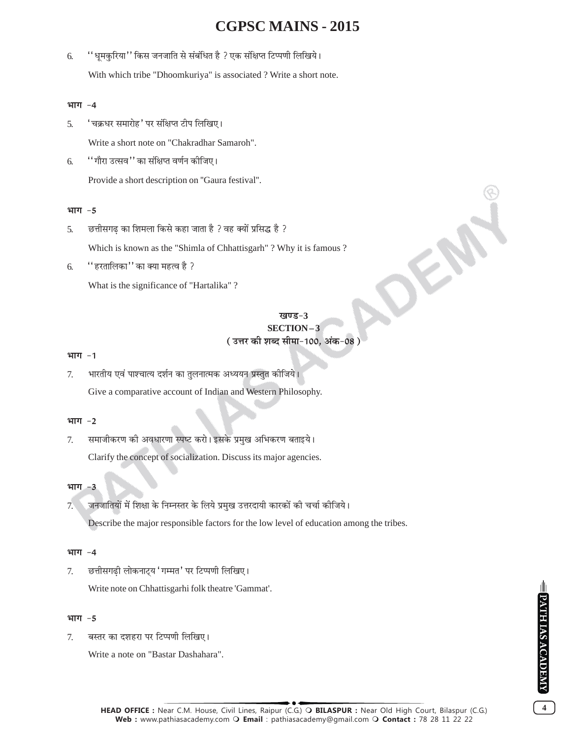''धूमकुरिया'' किस जनजाति से संबंधित है ? एक संक्षिप्त टिप्पणी लिखिये। 6. With which tribe "Dhoomkuriya" is associated ? Write a short note.

### भाग -4

'चक्रधर समारोह' पर संक्षिप्त टीप लिखिए। 5.

Write a short note on "Chakradhar Samaroh".

''गौरा उत्सव'' का संक्षिप्त वर्णन कीजिए। 6

Provide a short description on "Gaura festival".

## भाग -5

छत्तीसगढ का शिमला किसे कहा जाता है ? वह क्यों प्रसिद्ध है ?  $\overline{5}$ .

Which is known as the "Shimla of Chhattisgarh"? Why it is famous?

''हरतालिका'' का क्या महत्व है ? 6.

What is the significance of "Hartalika"?

## खण्ड-3 SECTION-3 ( उत्तर की शब्द सीमा-100, अंक-08

### भाग -1

भारतीय एवं पाश्चात्य दर्शन का तुलनात्मक अध्ययन प्रस्तुत कीजिये। 7. Give a comparative account of Indian and Western Philosophy.

## भाग -2

समाजीकरण की अवधारणा स्पष्ट करो। इसके प्रमुख अभिकरण बताइये। 7. Clarify the concept of socialization. Discuss its major agencies.

## भाग -3

जनजातियों में शिक्षा के निम्नस्तर के लिये प्रमुख उत्तरदायी कारकों की चर्चा कीजिये।  $7.$ 

Describe the major responsible factors for the low level of education among the tribes.

### भाग -4

छत्तीसगढी लोकनाटय 'गम्मत' पर टिप्पणी लिखिए।  $7<sub>1</sub>$ Write note on Chhattisgarhi folk theatre 'Gammat'.

#### भाग $-5$

बस्तर का दशहरा पर टिप्पणी लिखिए। 7.

Write a note on "Bastar Dashahara".